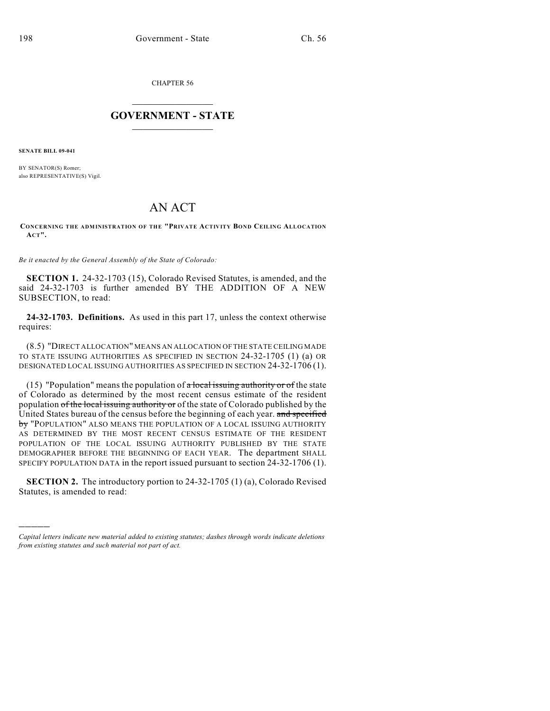CHAPTER 56

## $\overline{\phantom{a}}$  . The set of the set of the set of the set of the set of the set of the set of the set of the set of the set of the set of the set of the set of the set of the set of the set of the set of the set of the set o **GOVERNMENT - STATE**  $\_$

**SENATE BILL 09-041**

)))))

BY SENATOR(S) Romer; also REPRESENTATIVE(S) Vigil.

## AN ACT

**CONCERNING THE ADMINISTRATION OF THE "PRIVATE ACTIVITY BOND CEILING ALLOCATION ACT".**

*Be it enacted by the General Assembly of the State of Colorado:*

**SECTION 1.** 24-32-1703 (15), Colorado Revised Statutes, is amended, and the said 24-32-1703 is further amended BY THE ADDITION OF A NEW SUBSECTION, to read:

**24-32-1703. Definitions.** As used in this part 17, unless the context otherwise requires:

(8.5) "DIRECT ALLOCATION" MEANS AN ALLOCATION OF THE STATE CEILING MADE TO STATE ISSUING AUTHORITIES AS SPECIFIED IN SECTION 24-32-1705 (1) (a) OR DESIGNATED LOCAL ISSUING AUTHORITIES AS SPECIFIED IN SECTION 24-32-1706 (1).

(15) "Population" means the population of  $\alpha$  local issuing authority or of the state of Colorado as determined by the most recent census estimate of the resident population of the local issuing authority or of the state of Colorado published by the United States bureau of the census before the beginning of each year. and specified by "POPULATION" ALSO MEANS THE POPULATION OF A LOCAL ISSUING AUTHORITY AS DETERMINED BY THE MOST RECENT CENSUS ESTIMATE OF THE RESIDENT POPULATION OF THE LOCAL ISSUING AUTHORITY PUBLISHED BY THE STATE DEMOGRAPHER BEFORE THE BEGINNING OF EACH YEAR. The department SHALL SPECIFY POPULATION DATA in the report issued pursuant to section 24-32-1706 (1).

**SECTION 2.** The introductory portion to 24-32-1705 (1) (a), Colorado Revised Statutes, is amended to read:

*Capital letters indicate new material added to existing statutes; dashes through words indicate deletions from existing statutes and such material not part of act.*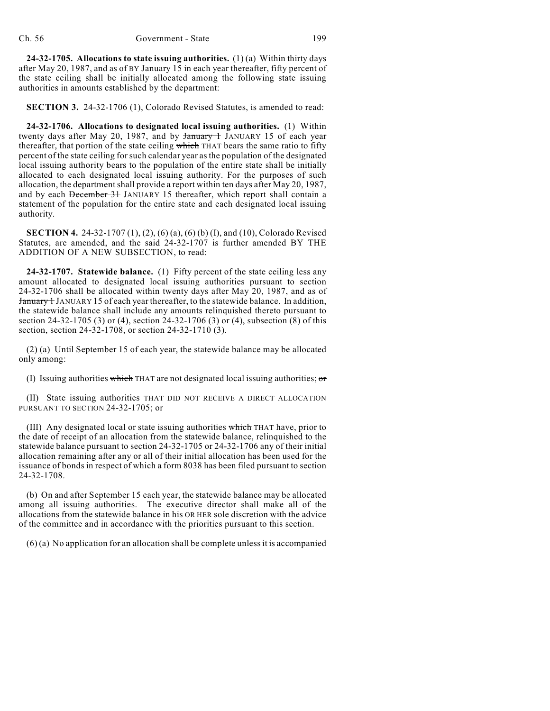**24-32-1705. Allocations to state issuing authorities.** (1) (a) Within thirty days after May 20, 1987, and  $\overline{a}$  as of BY January 15 in each year thereafter, fifty percent of the state ceiling shall be initially allocated among the following state issuing authorities in amounts established by the department:

**SECTION 3.** 24-32-1706 (1), Colorado Revised Statutes, is amended to read:

**24-32-1706. Allocations to designated local issuing authorities.** (1) Within twenty days after May 20, 1987, and by January 1 JANUARY 15 of each year thereafter, that portion of the state ceiling which THAT bears the same ratio to fifty percent of the state ceiling for such calendar year as the population of the designated local issuing authority bears to the population of the entire state shall be initially allocated to each designated local issuing authority. For the purposes of such allocation, the department shall provide a report within ten days after May 20, 1987, and by each December 31 JANUARY 15 thereafter, which report shall contain a statement of the population for the entire state and each designated local issuing authority.

**SECTION 4.** 24-32-1707 (1), (2), (6) (a), (6) (b) (I), and (10), Colorado Revised Statutes, are amended, and the said 24-32-1707 is further amended BY THE ADDITION OF A NEW SUBSECTION, to read:

**24-32-1707. Statewide balance.** (1) Fifty percent of the state ceiling less any amount allocated to designated local issuing authorities pursuant to section 24-32-1706 shall be allocated within twenty days after May 20, 1987, and as of **January 1** JANUARY 15 of each year thereafter, to the statewide balance. In addition, the statewide balance shall include any amounts relinquished thereto pursuant to section 24-32-1705 (3) or (4), section 24-32-1706 (3) or (4), subsection (8) of this section, section 24-32-1708, or section 24-32-1710 (3).

(2) (a) Until September 15 of each year, the statewide balance may be allocated only among:

(I) Issuing authorities which THAT are not designated local issuing authorities;  $\sigma$ 

(II) State issuing authorities THAT DID NOT RECEIVE A DIRECT ALLOCATION PURSUANT TO SECTION 24-32-1705; or

(III) Any designated local or state issuing authorities which THAT have, prior to the date of receipt of an allocation from the statewide balance, relinquished to the statewide balance pursuant to section 24-32-1705 or 24-32-1706 any of their initial allocation remaining after any or all of their initial allocation has been used for the issuance of bonds in respect of which a form 8038 has been filed pursuant to section 24-32-1708.

(b) On and after September 15 each year, the statewide balance may be allocated among all issuing authorities. The executive director shall make all of the allocations from the statewide balance in his OR HER sole discretion with the advice of the committee and in accordance with the priorities pursuant to this section.

 $(6)$  (a) No application for an allocation shall be complete unless it is accompanied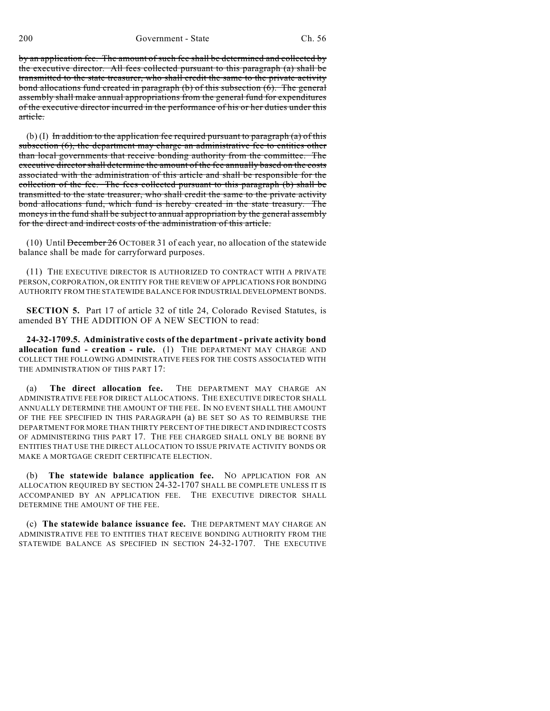by an application fee. The amount of such fee shall be determined and collected by the executive director. All fees collected pursuant to this paragraph (a) shall be transmitted to the state treasurer, who shall credit the same to the private activity bond allocations fund created in paragraph (b) of this subsection (6). The general assembly shall make annual appropriations from the general fund for expenditures of the executive director incurred in the performance of his or her duties under this article.

(b) (I) In addition to the application fee required pursuant to paragraph (a) of this subsection (6), the department may charge an administrative fee to entities other than local governments that receive bonding authority from the committee. The executive director shall determine the amount of the fee annually based on the costs associated with the administration of this article and shall be responsible for the collection of the fee. The fees collected pursuant to this paragraph (b) shall be transmitted to the state treasurer, who shall credit the same to the private activity bond allocations fund, which fund is hereby created in the state treasury. The moneys in the fund shall be subject to annual appropriation by the general assembly for the direct and indirect costs of the administration of this article.

(10) Until December 26 OCTOBER 31 of each year, no allocation of the statewide balance shall be made for carryforward purposes.

(11) THE EXECUTIVE DIRECTOR IS AUTHORIZED TO CONTRACT WITH A PRIVATE PERSON, CORPORATION, OR ENTITY FOR THE REVIEW OF APPLICATIONS FOR BONDING AUTHORITY FROM THE STATEWIDE BALANCE FOR INDUSTRIAL DEVELOPMENT BONDS.

**SECTION 5.** Part 17 of article 32 of title 24, Colorado Revised Statutes, is amended BY THE ADDITION OF A NEW SECTION to read:

**24-32-1709.5. Administrative costs of the department - private activity bond allocation fund - creation - rule.** (1) THE DEPARTMENT MAY CHARGE AND COLLECT THE FOLLOWING ADMINISTRATIVE FEES FOR THE COSTS ASSOCIATED WITH THE ADMINISTRATION OF THIS PART 17:

(a) **The direct allocation fee.** THE DEPARTMENT MAY CHARGE AN ADMINISTRATIVE FEE FOR DIRECT ALLOCATIONS. THE EXECUTIVE DIRECTOR SHALL ANNUALLY DETERMINE THE AMOUNT OF THE FEE. IN NO EVENT SHALL THE AMOUNT OF THE FEE SPECIFIED IN THIS PARAGRAPH (a) BE SET SO AS TO REIMBURSE THE DEPARTMENT FOR MORE THAN THIRTY PERCENT OF THE DIRECT AND INDIRECT COSTS OF ADMINISTERING THIS PART 17. THE FEE CHARGED SHALL ONLY BE BORNE BY ENTITIES THAT USE THE DIRECT ALLOCATION TO ISSUE PRIVATE ACTIVITY BONDS OR MAKE A MORTGAGE CREDIT CERTIFICATE ELECTION.

**The statewide balance application fee.** NO APPLICATION FOR AN ALLOCATION REQUIRED BY SECTION 24-32-1707 SHALL BE COMPLETE UNLESS IT IS ACCOMPANIED BY AN APPLICATION FEE. THE EXECUTIVE DIRECTOR SHALL DETERMINE THE AMOUNT OF THE FEE.

(c) **The statewide balance issuance fee.** THE DEPARTMENT MAY CHARGE AN ADMINISTRATIVE FEE TO ENTITIES THAT RECEIVE BONDING AUTHORITY FROM THE STATEWIDE BALANCE AS SPECIFIED IN SECTION 24-32-1707. THE EXECUTIVE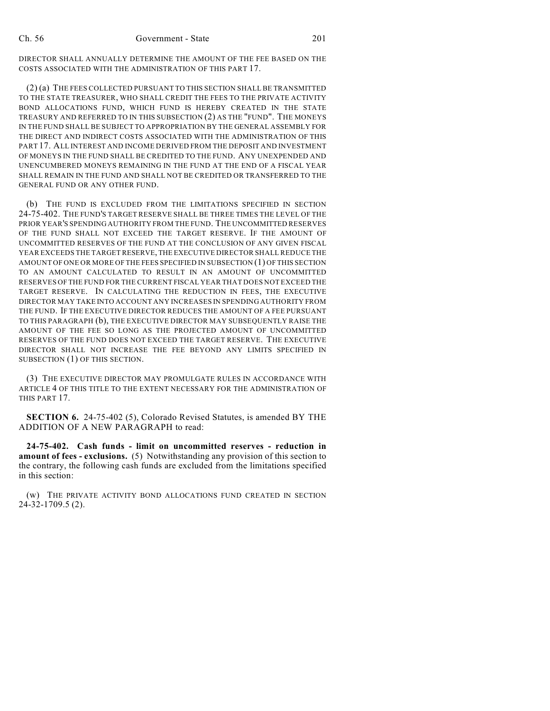DIRECTOR SHALL ANNUALLY DETERMINE THE AMOUNT OF THE FEE BASED ON THE COSTS ASSOCIATED WITH THE ADMINISTRATION OF THIS PART 17.

(2) (a) THE FEES COLLECTED PURSUANT TO THIS SECTION SHALL BE TRANSMITTED TO THE STATE TREASURER, WHO SHALL CREDIT THE FEES TO THE PRIVATE ACTIVITY BOND ALLOCATIONS FUND, WHICH FUND IS HEREBY CREATED IN THE STATE TREASURY AND REFERRED TO IN THIS SUBSECTION (2) AS THE "FUND". THE MONEYS IN THE FUND SHALL BE SUBJECT TO APPROPRIATION BY THE GENERAL ASSEMBLY FOR THE DIRECT AND INDIRECT COSTS ASSOCIATED WITH THE ADMINISTRATION OF THIS PART 17. ALL INTEREST AND INCOME DERIVED FROM THE DEPOSIT AND INVESTMENT OF MONEYS IN THE FUND SHALL BE CREDITED TO THE FUND. ANY UNEXPENDED AND UNENCUMBERED MONEYS REMAINING IN THE FUND AT THE END OF A FISCAL YEAR SHALL REMAIN IN THE FUND AND SHALL NOT BE CREDITED OR TRANSFERRED TO THE GENERAL FUND OR ANY OTHER FUND.

(b) THE FUND IS EXCLUDED FROM THE LIMITATIONS SPECIFIED IN SECTION 24-75-402. THE FUND'S TARGET RESERVE SHALL BE THREE TIMES THE LEVEL OF THE PRIOR YEAR'S SPENDING AUTHORITY FROM THE FUND. THE UNCOMMITTED RESERVES OF THE FUND SHALL NOT EXCEED THE TARGET RESERVE. IF THE AMOUNT OF UNCOMMITTED RESERVES OF THE FUND AT THE CONCLUSION OF ANY GIVEN FISCAL YEAR EXCEEDS THE TARGET RESERVE, THE EXECUTIVE DIRECTOR SHALL REDUCE THE AMOUNT OF ONE OR MORE OF THE FEES SPECIFIED IN SUBSECTION (1) OF THIS SECTION TO AN AMOUNT CALCULATED TO RESULT IN AN AMOUNT OF UNCOMMITTED RESERVES OF THE FUND FOR THE CURRENT FISCAL YEAR THAT DOES NOT EXCEED THE TARGET RESERVE. IN CALCULATING THE REDUCTION IN FEES, THE EXECUTIVE DIRECTOR MAY TAKE INTO ACCOUNT ANY INCREASES IN SPENDING AUTHORITY FROM THE FUND. IF THE EXECUTIVE DIRECTOR REDUCES THE AMOUNT OF A FEE PURSUANT TO THIS PARAGRAPH (b), THE EXECUTIVE DIRECTOR MAY SUBSEQUENTLY RAISE THE AMOUNT OF THE FEE SO LONG AS THE PROJECTED AMOUNT OF UNCOMMITTED RESERVES OF THE FUND DOES NOT EXCEED THE TARGET RESERVE. THE EXECUTIVE DIRECTOR SHALL NOT INCREASE THE FEE BEYOND ANY LIMITS SPECIFIED IN SUBSECTION (1) OF THIS SECTION.

(3) THE EXECUTIVE DIRECTOR MAY PROMULGATE RULES IN ACCORDANCE WITH ARTICLE 4 OF THIS TITLE TO THE EXTENT NECESSARY FOR THE ADMINISTRATION OF THIS PART 17.

**SECTION 6.** 24-75-402 (5), Colorado Revised Statutes, is amended BY THE ADDITION OF A NEW PARAGRAPH to read:

**24-75-402. Cash funds - limit on uncommitted reserves - reduction in amount of fees - exclusions.** (5) Notwithstanding any provision of this section to the contrary, the following cash funds are excluded from the limitations specified in this section:

(w) THE PRIVATE ACTIVITY BOND ALLOCATIONS FUND CREATED IN SECTION 24-32-1709.5 (2).